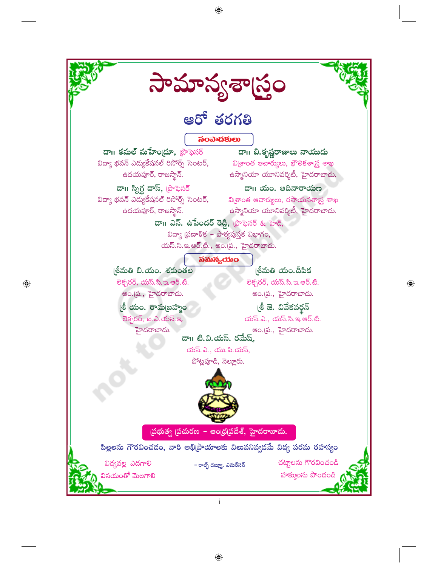

 $\bigoplus$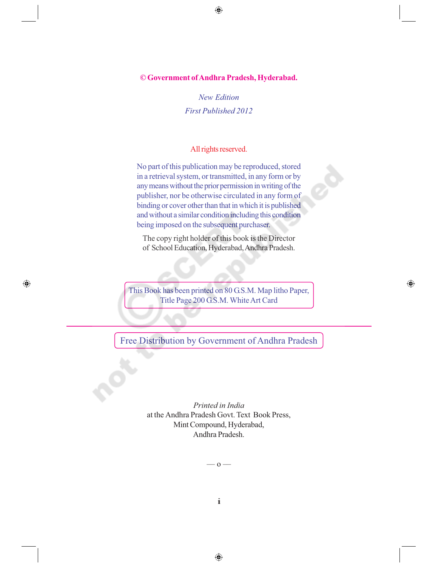**©Government of Andhra Pradesh, Hyderabad.**

 $\bigoplus$ 

*New Edition First Published 2012*

### All rights reserved.

No part of this publication may be reproduced, stored in a retrieval system, or transmitted, in any form or by any means without the prior permission in writing of the publisher, nor be otherwise circulated in any form of binding or cover other than that in which it is published and without a similar condition including this condition being imposed on the subsequent purchaser.

The copy right holder of this book is the Director of School Education, Hyderabad, Andhra Pradesh.

This Book has been printed on 80 G.S.M. Map litho Paper, Title Page 200 G.S.M. White Art Card

 $\bigoplus$ 

 $\bigoplus$ 

Free Distribution by Government of Andhra Pradesh

*Printed in India* at the Andhra Pradesh Govt. Text Book Press, Mint Compound, Hyderabad, Andhra Pradesh.

–– o ––

ii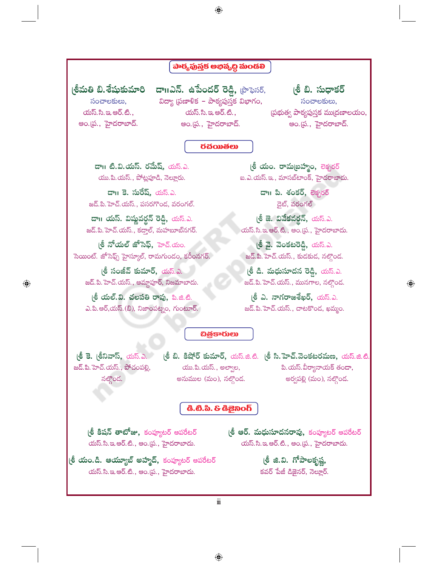### పార్యపుస్తక అభివృద్ధి మండలి

 $\bigoplus$ 

(శీమతి బి.శేషుకుమారి సంచాలకులు,  $\omega$ స్.సి.ఇ.ఆర్.టి., అం.[ప., హైదరాబాద్.

 $\overline{\mathbf{c}}$ າ alles and  $\overline{\mathbf{c}}$  alles and  $\overline{\mathbf{c}}$  alles alles and  $\overline{\mathbf{c}}$ విద్యా (పణాళిక – పాఠ్యపుస్తక విభాగం, యస్.సి.ఇ.ఆర్.టి., అం.(ప., హైదరాబాద్.

(శి బి. సుధాకర్ సంచాలకులు, (పభుత్వ పాఠ్యపుస్తక ము(దణాలయం, అం.[ప., హైదరాబాద్.

### *<u>ರಕೆಯಿಶಲು*</u>

డా॥ టి.వి.యస్. రమేష్, యస్.ఎ. యు.పి.యస్., పోట్లపూడి, నెల్లూరు.

డా॥ కె. సురేష్, యస్.ఎ. జడ్.పి. హెచ్.యస్., పసరగొండ, వరంగల్.

డా॥ యస్. విష్ణవర్థన్ రెడ్డి, యస్.ఎ. జద్.పి. హెచ్.యస్., కదాల్, మహబూబ్నగర్.

(శీ నోయల్ జోసెఫ్, హెచ్.యం. సెయింట్. జోసెఫ్స్ హైస్కూల్, రామగుండం, కరీంనగర్.

(శీ సంజీవ్ కుమార్, యస్.ఎ. జద్.పి. హెచ్.యస్., ఆమ్గాపూర్, నిజమాబాదు.

(శీ యల్.వి. చలపతి రావు, పి.జి.టి. ఎ.పి.ఆర్,యస్.(బి), నిజాంపట్నం, గుంటూర్.

(**శీ యం. రామ**(బహ్మం, లెక్చరర్ ఐ.ఎ.యస్.ఇ., మాసబ్ టాంక్, హైదరాబాదు.

> డా।। పి. శంకర్, లెక్చరర్ డైట్, వరంగల్

(శీ జె. వివేకవర్గన్, యస్.ఎ. యస్.సి.ఇ.ఆర్.టి., ఆం.(ప., హైదరాబాదు.

(శీ వై. వెంకటరెడ్డి, యస్.ఎ. జడ్.పి. హెచ్.యస్., కుడకుడ, నల్తొండ.

(శీ డి. మధుసూదన రెడ్డి, యస్.ఎ. జద్.పి. హెచ్.యస్., మునగాల, నల్గొండ.

(శీ ఎ. నాగరాజశేఖర్, యస్.ఎ. జద్.పి. హెచ్.యస్., చాటకొండ, ఖమ్మం.

### **చిత్రకారులు**

(శీ కె. (శీనివాస్, యస్.ఎ. జద్.పి. హెచ్.యస్., పోచంపల్లి, నల్గొండ.

 $\bigoplus$ 

యు.పి.యస్., అల్వాల, అనుముల (మం), నల్గొండ.

(శీ బి. కిషోర్ కుమార్, యస్.జి.టి. (శీ సి.హెచ్.వెంకటరమణ, యస్.జి.టి పి.యస్.వీర్యానాయక్ తండా, అర్వపల్లి (మం), నల్గొండ.

 $\bigoplus$ 

#### යී.ඪී.ඨ. & යීඞීබ໐ර්

(**శీ కిషన్ తాటోజు,** కంప్యూటర్ ఆపరేటర్ యస్.సి.ఇ.ఆర్.టి., ఆం.(ప., హైదరాబాదు.

l**లీ ఆర్. మధుసూదనరావు,** కంప్యూటర్ ఆపరేటర్ యస్.సి.ఇ.ఆర్.టి., ఆం.ప్ర., హైదరాబాదు.

(**శీ యం.డి. ఆయ్యూబ్ అహ్మద్,** కంప్యూటర్ అపరేటర్ యస్.సి.ఇ.ఆర్.టి., ఆం.(ప., హైదరాబాదు.

(శీ జి.వి. గోపాలకృష్ణ, కవర్ పేజీ డిజైనర్, నెల్లూర్.

Ш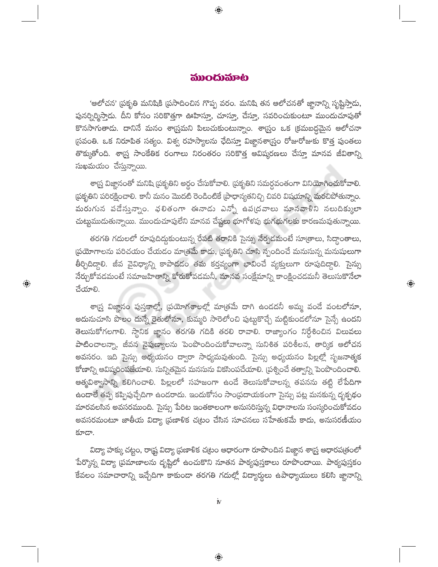### ముందుమాట

 $\bigoplus$ 

'ఆలోచన' (పకృతి మనిషికి (పసాదించిన గొప్ప వరం. మనిషి తన ఆలోచనతో జ్ఞానాన్ని సృష్టిస్తాదు, పునర్నిర్మిస్తాడు. దీని కోసం సరికొత్తగా ఊహిస్తూ, చూస్తూ, చేస్తూ, సవరించుకుంటూ ముందుచూపుతో కొనసాగుతాడు. దానినే మనం శార్ర్తమని పిలుచుకుంటున్నాం. శార్<mark>త్రం ఒక (క్రమబద్ధమైన ఆలోచనా</mark> (సవంతి. ఒక నిరూపిత సత్యం. విశ్వ రహస్యాలను ఛేదిస్తూ విజ్ఞానశా[స్రం రోజురోజుకు కొత్త పుంతలు తొక్కుతోంది. శార్ష్త సాంకేతిక రంగాలు నిరంతరం సరికొత్త ఆవిష్కరణలు చేస్తూ మానవ జీవితాన్ని  $\tilde{\omega}$ ఖమయం చేస్తున్నాయి.

శా[స్త్ర విజ్ఞానంతో మనిషి [పకృతిని అర్థం చేసుకోవాలి. [పకృతిని సమర్ధవంతంగా వినియోగించుకోవాలి. .<br>పకృతిని పరిరక్షించాలి. కానీ మనం మొదటి రెండింటికే (పాధాన్యతనిచ్చి చివరి విషయాన్ని మరచిపోతున్నాం. మరుగున పడేస్తున్నాం. ఛలితంగా ఈనాడు ఎన్నో ఉప(దవాలు మానవాళిని నలుదిక్కులా చుట్టుముదుతున్నాయి. ముందుచూపులేని మానవ చేష్టలు భూగోళపు భుగభుగలకు కారణమవుతున్నాయి.

తరగతి గదులలో రూపుదిద్దుకుంటున్న రేపటి తరానికి సైన్సు నేర్పడమంటే సూ(తాలు, సిద్ధాంతాలు, (పయోగాలను పరిచయం చేయడం మాత్రమే కాదు, (పకృతిని చూసి స్పందించే మనుసున్న మనుషులుగా తీర్చిదిద్దాలి. జీవ వైవిధ్యాన్ని కాపాడడం తమ కర్తవ్యంగా భావించే వ్యక్తులుగా రూపుదిద్దాలి. సైన్సు <mark>నేర్చుకోవడమంటే సమాజహితాన్ని కోరుకోవడమనీ, మానవ</mark> సంక్షేమాన్ని కాంక్షించడమనీ తెలుసుకొనేలా చేయాలి.

 $\hat{\mathbb{Q}}$ 

 $\bigoplus$ 

శా[స్త్ర విజ్ఞానం పుస్తకాల్లో, [పయోగశాలల్లో మా[తమే దాగి ఉండదనీ అమ్మ వందే వంటలోనూ, అదునుచూసి పొలం దున్నే రైతులోనూ, కుమ్మరి సారెలోంచి పుట్టుకొచ్చే మట్టికుందలోనూ సైన్సే ఉందని తెలుసుకోగలగాలి. స్థానిక జ్ఞానం తరగతి గదికి తరలి రావాలి. రాజ్యాంగం నిర్దేశించిన విలువలు పాటించాలన్నా, జీవన నైపుణ్యాలను పెంపొందించుకోవాలన్నా సునిశిత పరిశీలన, తార్కిక ఆలోచన అవసరం. ఇది సైన్సు అధ్యయనం ద్వారా సాధ్యమవుతుంది. సైన్సు అధ్యయనం పిల్లల్లో సృజనాత్మక కోణాన్ని ఆవిష్కరింపజేయాలి. సున్నితమైన మనసును వికసింపచేయాలి. (పశ్నించే తత్వాన్ని పెంపొందించాలి. ఆత్మవిశ్వాసాన్ని కలిగించాలి. పిల్లలలో సహజంగా ఉండే తెలుసుకోవాలన్న తపనను తట్టి లేపేదిగా ఉండాలే తప్ప కప్పిపుచ్చేదిగా ఉండరాదు. ఇందుకోసం సాం(పదాయకంగా సైన్సు పట్ల మనకున్న దృక్పథం మారవలసిన అవసరముంది. సైన్సు పేరిట ఇంతకాలంగా అనుసరిస్తున్న విధానాలను సంస్కరించుకోవడం అవసరమంటూ జాతీయ విద్యా (పణాళిక చ(టం చేసిన సూచనలు సహేతుకమే కాదు, అనుసరణీయం కూడా.

విద్యా హక్కు చట్టం, రాష్ట్ర విద్యా (పణాళిక చట్రం ఆధారంగా రూపొందిన విజ్ఞాన శాస్త్ర ఆధారప(తంలో పేర్కొన్న విద్యా (పమాణాలను దృష్టిలో ఉంచుకొని నూతన పాఠ్యపుస్తకాలు రూపొందాయి. పాఠ్యపుస్తకం కేవలం సమాచారాన్ని ఇచ్చేదిగా కాకుండా తరగతి గదుల్లో విద్యార్థులు ఉపాధ్యాయులు కలిసి జ్ఞానాన్ని

 $\dot{\mathbb{N}}$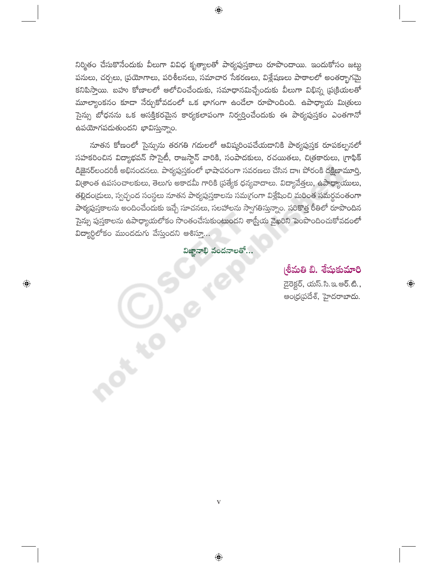నిర్మితం చేసుకొనేందుకు వీలుగా వివిధ కృత్యాలతో పాఠ్యపుస్తకాలు రూపొందాయి. ఇందుకోసం జట్ట పనులు, చర్చలు, (పయోగాలు, పరిశీలనలు, సమాచార సేకరణలు, విశ్లేషణలు పాఠాలలో అంతర్భాగమై కనిపిస్తాయి. బహు కోణాలలో ఆలోచించేందుకు, సమాధానమిచ్చేందుకు వీలుగా విభిన్న (ప్రక్రియలతో మూల్యాంకనం కూడా నేర్చుకోవడంలో ఒక భాగంగా ఉండేలా రూపొందింది. ఉపాధ్యాయ మిత్రులు సైన్సు బోధనను ఒక ఆసక్తికరమైన కార్యకలాపంగా నిర్వర్తించేందుకు ఈ పాఠ్యపుస్తకం ఎంతగానో ఉపయోగపడుతుందని భావిస్తున్నాం.

నూతన కోణంలో సైన్సును తరగతి గదులలో ఆవిష్కరింపచేయడానికి పాఠ్యపుస్తక రూపకల్పనలో సహకరించిన విద్యాభవన్ సొసైటీ, రాజస్థాన్ వారికి, సంపాదకులు, రచయితలు, చి[తకారులు, [గాఫిక్ డిజైనర్లందరికీ అభినందనలు. పాఠ్యపుస్తకంలో భాషాపరంగా సవరణలు చేసిన దా॥ పోరంకి దక్షిణామూర్తి, \_\_<br>వి[శాంత ఉపసంచాలకులు, తెలుగు అకాడమీ గారికి [పత్యేక ధన్యవాదాలు. విద్యావేత్తలు, ఉపాధ్యాయులు, తల్లిదం[దులు, స్వచ్ఛంద సంస్థలు నూతన పాఠ్యపుస్తకాలను సమ[గంగా విశ్లేషించి మరింత సమర్థవంతంగా పాఠ్యపుస్తకాలను అందించేందుకు ఇచ్చే సూచనలు, సలహాలను స్వాగతిస్తున్నాం. సరికొత్త రీతిలో రూపొందిన సైన్సు పుస్తకాలను ఉపాధ్యాయలోకం సొంతంచేసుకుంటుందని శాస్త్రీయ వైఖరిని పెంపొందించుకోవడంలో విద్యార్థిలోకం ముందడుగు వేస్తుందని ఆశిస్తూ...

విజ్ఞానాభి వందనాలతో...

 $\mathbf{V}$ 

 $\bigoplus$ 

 $rac{c}{\sqrt{c}}$ 

 $\bigoplus$ 

# (శీమతి బి. శేషుకుమారి

డైరెక్టర్, యస్.సి.ఇ.ఆర్.టి., అంద్రప్రదేశ్, హైదరాబాదు.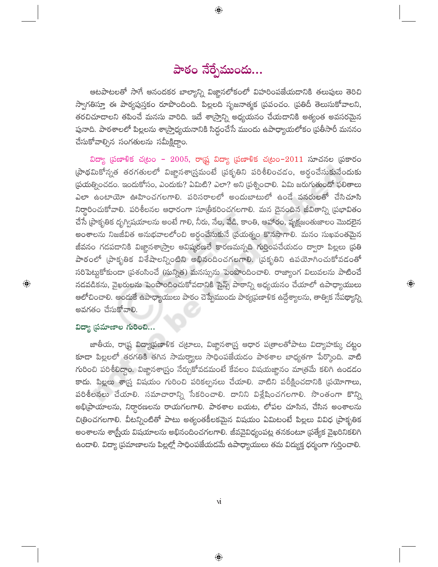# పాఠం నేర్పేముందు...

 $\bigoplus$ 

ఆటపాటలతో సాగే ఆనందకర బాల్యాన్ని విజ్ఞానలోకంలో విహరింపజేయదానికి తలుపులు తెరిచి స్వాగతిస్తూ ఈ పాఠ్యపుస్తకం రూపొందింది. పిల్లలది సృజనాత్మక (పపంచం. (పతిదీ తెలుసుకోవాలని, తరచిచూదాలని తపించే మనసు వారిది. ఇదే శా(స్తాన్ని అధ్యయనం చేయదానికి అత్యంత అవసరమైన పునాది. పాఠశాలలో పిల్లలను శా(స్తాధ్యయనానికి సిద్ధంచేసే ముందు ఉపాధ్యాయలోకం (పతీసారీ మననం చేసుకోవాల్సిన సంగతులను సమీక్షిద్ద<mark>ా</mark>ం.

విద్యా (పణాళిక చ(టం - 2005, రా(ష్ట విద్యా (పణాళిక చ(టం-2011 సూచనల (పకారం (పాథమికోన్నత తరగతులలో విజ్ఞానశా(స్తమంటే (పకృతిని పరిశీలించడం, అర్థంచేసుకునేందుకు (పయత్నించడం. ఇందుకోసం, ఎందుకు? ఏమిటి? ఎలా? అని (పశ్నించాలి. ఏమి జరుగుతుందో ఫలితాలు ఎలా ఉంటాయో ఊహించగలగాలి. పరిసరాలలో అందుబాటులో ఉండే వనరులతో చేసిచూసి నిర్థారించుకోవాలి. పరిశీలనల ఆధారంగా సూత్రీకరించగలగాలి. మన దైనందిన జీవితాన్ని (పభావితం చేసే [పాకృతిక దృగ్విషయాలను అంటే గాలి, నీరు, నేల, వేడి, కాంతి, ఆహారం, వృక్షజంతుజాలం మొదలైన అంశాలను నిజజీవిత అనుభవాలలోంచి అర్థంచేసుకునే (పయత్నం కొనసాగాలి. మనం సుఖవంతమైన జీవనం గడపడానికి విజ్ఞానశా(స్తాల ఆవిష్కరణలే కారణమన్నది గుర్తింపచేయడం ద్వారా పిల్లలు (పతి పాఠంలో (పాకృతిక విశేషాలన్నింటిని అభినందించగలగాలి. (పకృతిని ఉపయోగించుకోవడంతో సరిపెట్టుకోకుండా (పశంసించే (సున్నిత) మనస్సును పెంపొందించాలి. రాజ్యాంగ విలువలను పాటించే నడవడికను, వైఖరులను పెంపొందించుకోవడానికి సైన్స్ పాఠాన్ని అధ్యయనం చేయాలో ఉపాధ్యాయులు ఆలోచించాలి. అందుకే ఉపాధ్యాయులు పాఠం చెప్పేముందు పాఠ్యప్రణాళిక ఉద్దేశ్యాలను, తాత్విక నేపథ్యాన్ని అవగతం చేసుకోవాలి.

 $\bigoplus$ 

### విద్యా (పమాణాల గురించి...

 $\bigoplus$ 

జాతీయ, రాట్ట్ల విద్యాప్రణాళిక చ(టాలు, విజ్ఞానశా[స్త్ర ఆధార ప(తాలతోపాటు విద్యాహక్కు చట్టం కూడా పిల్లలలో తరగతికి తగిన సామర్థ్యాలు సాధింపజేయడం పాఠశాల బాధ్యతగా పేర్కొంది. వాటి గురించి పరిశీలిద్దాం. విజ్ఞానశా్న్రం నేర్చుకోవడమంటే కేవలం విషయజ్ఞానం మాత్రమే కలిగి ఉండడం కాదు. పిల్లలు శాద్ర్ విషయం గురించి పరికల్పనలు చేయాలి. వాటిని పరీక్షించడానికి (పయోగాలు, పరిశీలనలు చేయాలి. సమాచారాన్ని సేకరించాలి. దానిని విశ్లేషించగలగాలి. సొంతంగా కొన్ని అభి[ప్రాయాలను, నిర్ధారణలను రాయగలగాలి. పాఠశాల బయట, లోపల చూసిన, చేసిన అంశాలను చిత్రించగలగాలి. వీటన్నింటితో పాటు అత్యంతకీలకమైన విషయం ఏమిటంటే పిల్లలు వివిధ [పాకృతిక అంశాలను శాస్ర్తీయ విషయాలను అభినందించగలగాలి. జీవవైవిధ్యంపట్ల తనకంటూ (పత్యేక వైఖరినికలిగి ఉండాలి. విద్యా (పమాణాలను పిల్లల్లో సాధింపజేయడమే ఉపాధ్యాయులు తమ విద్యుక్త ధర్మంగా గుర్తించాలి.

 $\overline{M}$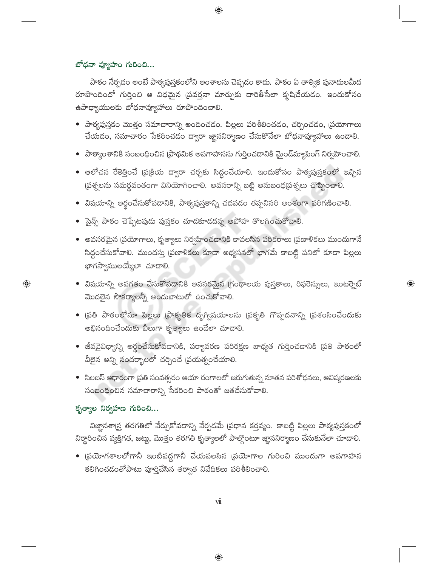## బోధనా వ్యూహం గురించి...

పాఠం నేర్పడం అంటే పాఠ్యపుస్తకంలోని అంశాలను చెప్పడం కాదు. పాఠం ఏ తాత్విక పునాదులమీద రూపొందిందో గుర్తించి ఆ విధమైన (పవర్తనా మార్పుకు దారితీసేలా కృషిచేయడం. ఇందుకోసం ఉపాధ్యాయులకు బోధనావ్యూహాలు రూపొందించాలి.

 $\bigoplus$ 

- $\bullet$  పాఠ్యపుస్తకం మొత్తం సమాచారాన్ని అందించడం. పిల్లలు పరిశీలించడం, చర్చించడం, (పయోగాలు చేయడం, సమాచారం సేకరించడం ద్వారా జ్ఞాననిర్మాణం చేసుకొనేలా బోధనావ్యూహాలు ఉండాలి.
- పాఠ్యాంశానికి సంబంధించిన (పాథమిక అవగాహనను గుర్తించడానికి మైంద్మ్యాపింగ్ నిర్వహించాలి.
- $\bullet$  ఆలోచన రేకెత్తించే (ప(కియ ద్వారా చర్చకు సిద్దంచేయాలి. ఇందుకోసం పాఠ్యపుస్తకంలో ఇచ్చిన ప్రశ్నలను సమర్థవంతంగా వినియోగించాలి. అవసరాన్ని బట్టి అనుబంధ[పశ్నలు చొప్పించాలి.
- $\bullet$  విషయాన్ని అర్థంచేసుకోవడానికి, పాఠ్యపుస్తకాన్ని చదవడం తప్పనిసరి అంశంగా పరిగణించాలి.
- $\bullet$  సైన్స్ పాఠం చెప్పేటపుడు పుస్తకం చూడకూడదన్న అపోహ తొలగించుకోవాలి.
- $\bullet$  అవసరమైన (పయోగాలు, కృత్యాలు నిర్వహించడానికి కావలసిన పరికరాలు (పణాళికలు ముందుగానే సిద్ధంచేసుకోవాలి. ముందస్తు (పణాళికలు కూడా అభ్యసనలో భాగమే కాబట్టి పనిలో కూడా పిల్లలు ,<br>భాగస్వాములయ్యేలా చూడాలి.
- విషయాన్ని అవగతం చేసుకోవడానికి అవసరమైన గ్రంథాలయ పుస్తకాలు, రిఫరెన్సులు, ఇంటర్నెట్ మొదలైన సౌకర్యాలన్నీ అందుబాటులో ఉంచుకోవాలి.

 $\bigoplus$ 

- (పతి పాఠంలోనూ పిల్లలు (ఫాకృతిక దృగ్విషయాలను (పకృతి గొప్పదనాన్ని (పశంసించేందుకు అభినందించేందుకు వీలుగా కృత్యాలు ఉండేలా చూడాలి.
- $\bullet$  జీవవైవిధ్యాన్ని అర్ధంచేసుకోవడానికి, పర్యావరణ పరిరక్షణ బాధ్యత గుర్తించడానికి (పతి పాఠంలో వీలైన అన్ని <mark>సందర్భా</mark>లలో చర్చించే (పయత్నంచేయాలి.
- $\bullet$  సిలబస్ ఆధారంగా (పతి సంవత్సరం ఆయా రంగాలలో జరుగుతున్న నూతన పరిశోధనలు, ఆవిష్మరణలకు సంబంధించిన సమాచారాన్ని సేకరించి పాఠంతో జతచేసుకోవాలి.

## కృత్యాల నిర్వహణ గురించి...

 $\bigoplus$ 

విజ్ఞానశా[స్త్ర తరగతిలో నేర్చుకోవదాన్ని నేర్పడమే (పధాన కర్తవ్యం. కాబట్టి పిల్లలు పాఠ్యపుస్తకంలో నిర్థారించిన వ్యక్తిగత, జట్టు, మొత్తం తరగతి కృత్యాలలో పాల్గొంటూ జ్ఞాననిర్మాణం చేసుకునేలా చూడాలి.

• (పయోగశాలలోగానీ ఇంటివద్దగానీ చేయవలసిన (పయోగాల గురించి ముందుగా అవగాహన కలిగించడంతోపాటు పూర్తిచేసిన తర్వాత నివేదికలు పరిశీలించాలి.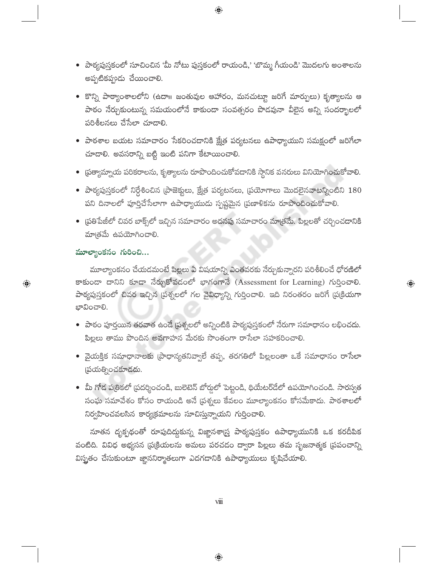• పాఠ్యపుస్తకంలో సూచించిన 'మీ నోటు పుస్తకంలో రాయండి,' 'బొమ్మ గీయండి' మొదలగు అంశాలను అప్పటికప్పుడు చేయించాలి.

 $\bigoplus$ 

- కొన్ని పాఠ్యాంశాలలోని (ఉదా॥ జంతువుల ఆహారం, మనచుట్టూ జరిగే మార్పులు) కృత్యాలను ఆ పాఠం నేర్చుకుంటున్న సమయంలోనే కాకుండా సంవత్సరం పొడవునా వీలైన అన్ని సందర్భాలలో పరిశీలనలు చేసేలా చూడాలి.
- $\bullet$  పాఠశాల బయట సమాచారం సేకరించడానికి క్షేత్ర పర్యటనలు ఉపాధ్యాయుని సమక్షంలో జరిగేలా చూడాలి. అవసరాన్ని బట్టి ఇంటి పనిగా కేటాయించాలి.
- (పత్యామ్నాయ పరికరాలను, కృత్యాలను రూపొందించుకోవడానికి స్థానిక వనరులు వినియోగించుకోవాలి.
- $\bullet$  పాఠ్యపుస్తకంలో నిర్దేశించిన (పాజెక్టులు, క్షేత్ర పర్యటనలు, (పయోగాలు మొదలైనవాటన్నింటిని  $180$ పని దినాలలో పూర్తిచేసేలాగా ఉపాధ్యాయుడు స్పష్టమైన (పణాళికను రూపొందించుకోవాలి.
- ప్రతిపేజీలో చివర బాక్స్లలో ఇచ్చిన సమాచారం అదనపు సమాచారం మాత్రమే. పిల్లలతో చర్చించ<mark>దా</mark>నికి మాత్రమే ఉపయోగించాలి.

## మూల్యాంకనం గురించి...

 $\bigoplus$ 

మూల్యాంకనం చేయడమంటే పిల్లలు ఏ విషయాన్ని ఎంతవరకు నేర్చుకున్నారని పరిశీలించే ధోరణిలో కాకుండా దానిని కూడా నేర్చుకోవడంలో భాగంగానే (Assessment for Learning) గుర్తించాలి. పాఠ్యపుస్తకంలో చివర ఇచ్చిన (పశ్నలలో గల వైవిధ్యాన్ని గుర్తించాలి. ఇది నిరంతరం జరిగే (ప(కియగా ಭಾವಿಂವಾಲಿ.

 $\bigoplus$ 

- $\bullet$  పాఠం పూర్తయిన తరవాత ఉండే (పశ్నలలో అన్నింటికి పాఠ్యపుస్తకంలో నేరుగా సమాధానం లభించదు. పిల్లలు తాము పొందిన అవగాహన మేరకు సొంతంగా రాసేలా సహకరించాలి.
- వైయక్తిక సమాధానాలకు (పాధాన్యతనివ్వాలే తప్ప, తరగతిలో పిల్లలంతా ఒకే సమాధానం రాసేలా (పయత్నించకూడదు.
- మీ గోడ పత్రికలో (పదర్శించండి, బులెటెన్ బోర్డులో పెట్టండి, థియేటర్డేలో ఉపయోగించండి. సారస్వత సంఘ సమావేశం కోసం రాయండి అనే (పశ్నలు కేవలం మూల్యాంకనం కోసమేకాదు. పాఠశాలలో నిర్వహించవలసిన కార్యక్రమాలను సూచిస్తున్నాయని గుర్తించాలి.

నూతన దృక్పథంతో రూపుదిద్దకున్న విజ్ఞానశార్త్ర పాఠ్యపుస్తకం ఉపాధ్యాయునికి ఒక కరదీపిక వంటిది. వివిధ అభ్యసన (పట్రియలను అమలు పరచడం ద్వారా పిల్లలు తమ సృజనాత్మక (పపంచాన్ని విస్త్రతం చేసుకుంటూ జ్ఞాననిర్మాతలుగా ఎదగడానికి ఉపాధ్యాయులు కృషిచేయాలి.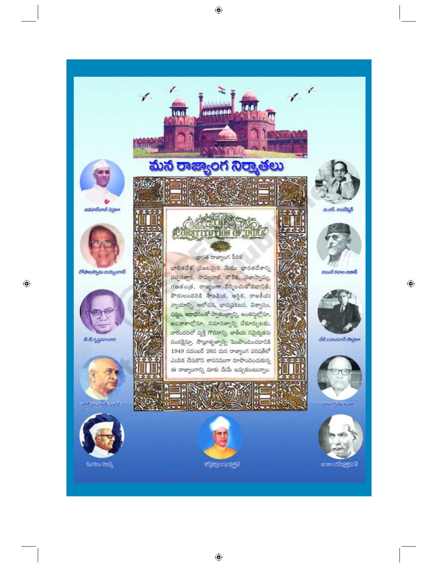

 $\bigoplus$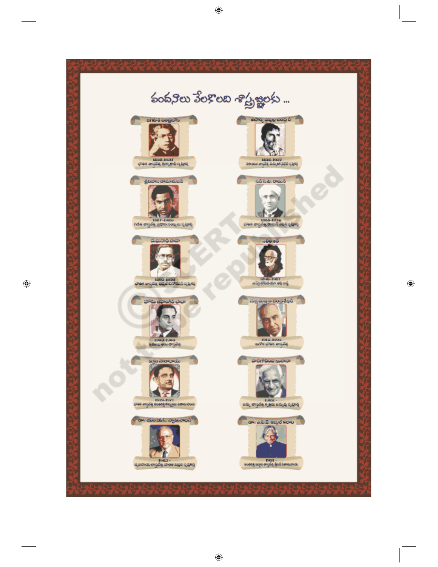

 $\bigoplus$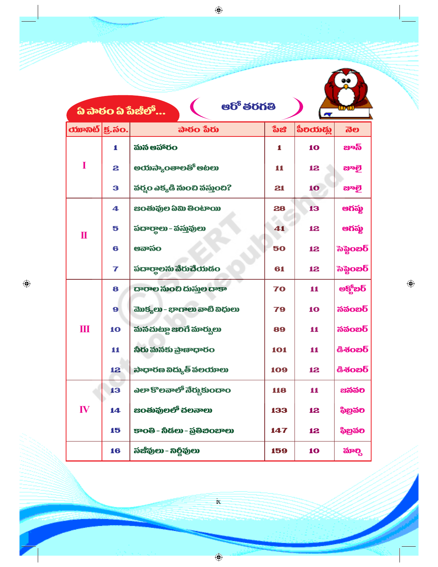|    |                                                               | <b>ఆరో</b> తరగతి<br>ప్ పాఠం ప్ పేజీలో |     | Ñ.       | lu ul                              |
|----|---------------------------------------------------------------|---------------------------------------|-----|----------|------------------------------------|
|    | $\boldsymbol{\text{w}}$ ოგონ $ \boldsymbol{\mathsf{g}}$ . సం. | <u> ವಾಠಂ ಸಿರು</u>                     | ಾಡಿ | စီစထားရွ | ನೆಲ                                |
| T  | 1                                                             | మన ఆహారం                              | 1   | 10       | జాంస్                              |
|    | 2                                                             | ಅಯನ್ಯಾಂ <b>ತಾಲತಿ</b> ಆಟಲು             | 11  | 12       | ಜಾಠ್ಷ                              |
|    | 3                                                             | వర్మం ఎక్కడి నుంచి వస్తుంది?          | 21  | 10       | ಜಾಠ್ಷ                              |
| П  | 4                                                             | <b>සට</b> ණ්ඛාව බ්බා මීට ේශයා         | 28  | 13       | ఆగష్మ                              |
|    | 5                                                             | పదార్థాలు - వస్తువులు                 | 41  | 12       | ఆగష్మ                              |
|    | 6                                                             | ഋഔര്ഠ                                 | 50  | 12       | $\mathbf{\overline{5}}$ ನಿನ್ದೆಂಬರಿ |
|    | $\overline{\mathbf{r}}$                                       | పదార్థాలను వేరుచేయడం                  | 61  | 12       | $\mathbf{\bar{5}}$ ನಿನ್ದೆಂಬರಿ      |
| Ш  | 8                                                             | దారాల నుంచి దుస్తుల దాకా              | 70  | 11       | అక్యోబర్                           |
|    | 9                                                             | మొక్కలు - భాగాలు వాటి విధులు          | 79  | 10       | <b>నవంబర్</b>                      |
|    | 10                                                            | మనచుట్టూ జలిగే మార్కులు               | 89  | 11       | <b>నవంబర్</b>                      |
|    | 11                                                            | నీరు మనకు ప్రాణాధారం                  | 101 | 11       | $\delta$ శంబర్                     |
|    | 12                                                            | ಸಾಧಾರಣ ನಿದ್ಯುತ್ ನೆಲಯಾಲು               | 109 | 12       | డిశంబర్                            |
| IV | 13                                                            | ఎలా కొలవాలో నేర్చుకుందాం              | 118 | 11       | ಜನವರಿ                              |
|    | 14                                                            | జంతువులలో చలనాలు                      | 133 | 12       | ಫಿಬ್ರವಲ                            |
|    | 15                                                            | కాంతి - నీడలు - ప్రతిబింబాలు          | 147 | 12       | ಫಿಬ್ರವಲ                            |

 $\bigoplus$ 

 $\bigoplus$ 

 $\bigoplus$ 

 $\dot{\mathbf{k}}$